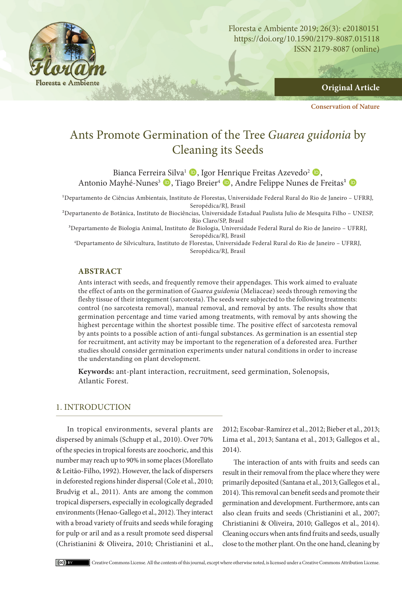

**Original Article**

**Conservation of Nature**

# Ants Promote Germination of the Tree *Guarea guidonia* by Cleaning its Seeds

Bianca Ferreira Silva<sup>1</sup> D, Igor Henrique Freitas Azevedo<sup>2</sup> D, Antonio Mayhé-Nunes<sup>3</sup> (D), Tiago Breier<sup>4</sup> (D), Andre Felippe Nunes de Freitas<sup>1</sup> (D)

<sup>1</sup>Departamento de Ciências Ambientais, Instituto de Florestas, Universidade Federal Rural do Rio de Janeiro - UFRRJ, Seropédica/RJ, Brasil

²Departanento de Botânica, Instituto de Biociências, Universidade Estadual Paulista Julio de Mesquita Filho – UNESP, Rio Claro/SP, Brasil

³Departamento de Biologia Animal, Instituto de Biologia, Universidade Federal Rural do Rio de Janeiro – UFRRJ, Seropédica/RJ, Brasil

4 Departamento de Silvicultura, Instituto de Florestas, Universidade Federal Rural do Rio de Janeiro – UFRRJ, Seropédica/RJ, Brasil

#### **ABSTRACT**

Ants interact with seeds, and frequently remove their appendages. This work aimed to evaluate the effect of ants on the germination of *Guarea guidonia* (Meliaceae) seeds through removing the fleshy tissue of their integument (sarcotesta). The seeds were subjected to the following treatments: control (no sarcotesta removal), manual removal, and removal by ants. The results show that germination percentage and time varied among treatments, with removal by ants showing the highest percentage within the shortest possible time. The positive effect of sarcotesta removal by ants points to a possible action of anti-fungal substances. As germination is an essential step for recruitment, ant activity may be important to the regeneration of a deforested area. Further studies should consider germination experiments under natural conditions in order to increase the understanding on plant development.

**Keywords:** ant-plant interaction, recruitment, seed germination, Solenopsis, Atlantic Forest.

# 1. INTRODUCTION

In tropical environments, several plants are dispersed by animals (Schupp et al., 2010). Over 70% of the species in tropical forests are zoochoric, and this number may reach up to 90% in some places (Morellato & Leitão-Filho, 1992). However, the lack of dispersers in deforested regions hinder dispersal (Cole et al., 2010; Brudvig et al., 2011). Ants are among the common tropical dispersers, especially in ecologically degraded environments (Henao-Gallego et al., 2012). They interact with a broad variety of fruits and seeds while foraging for pulp or aril and as a result promote seed dispersal (Christianini & Oliveira, 2010; Christianini et al.,

2012; Escobar-Ramírez et al., 2012; Bieber et al., 2013; Lima et al., 2013; Santana et al., 2013; Gallegos et al., 2014).

The interaction of ants with fruits and seeds can result in their removal from the place where they were primarily deposited (Santana et al., 2013; Gallegos et al., 2014). This removal can benefit seeds and promote their germination and development. Furthermore, ants can also clean fruits and seeds (Christianini et al., 2007; Christianini & Oliveira, 2010; Gallegos et al., 2014). Cleaning occurs when ants find fruits and seeds, usually close to the mother plant. On the one hand, cleaning by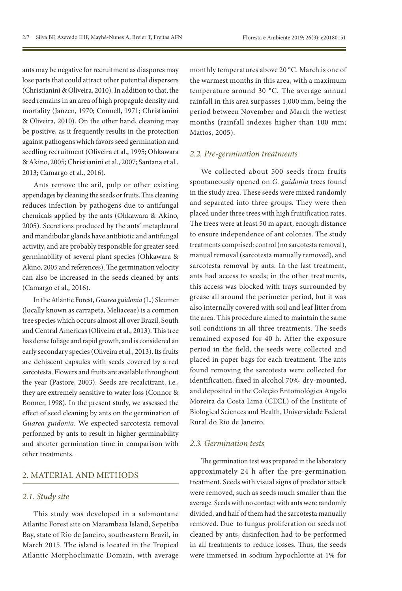ants may be negative for recruitment as diaspores may lose parts that could attract other potential dispersers (Christianini & Oliveira, 2010). In addition to that, the seed remains in an area of high propagule density and mortality (Janzen, 1970; Connell, 1971; Christianini & Oliveira, 2010). On the other hand, cleaning may be positive, as it frequently results in the protection against pathogens which favors seed germination and seedling recruitment (Oliveira et al., 1995; Ohkawara & Akino, 2005; Christianini et al., 2007; Santana et al., 2013; Camargo et al., 2016).

Ants remove the aril, pulp or other existing appendages by cleaning the seeds or fruits. This cleaning reduces infection by pathogens due to antifungal chemicals applied by the ants (Ohkawara & Akino, 2005). Secretions produced by the ants' metapleural and mandibular glands have antibiotic and antifungal activity, and are probably responsible for greater seed germinability of several plant species (Ohkawara & Akino, 2005 and references). The germination velocity can also be increased in the seeds cleaned by ants (Camargo et al., 2016).

In the Atlantic Forest, *Guarea guidonia* (L.) Sleumer (locally known as carrapeta, Meliaceae) is a common tree species which occurs almost all over Brazil, South and Central Americas (Oliveira et al., 2013). This tree has dense foliage and rapid growth, and is considered an early secondary species (Oliveira et al., 2013). Its fruits are dehiscent capsules with seeds covered by a red sarcotesta. Flowers and fruits are available throughout the year (Pastore, 2003). Seeds are recalcitrant, i.e., they are extremely sensitive to water loss (Connor & Bonner, 1998). In the present study, we assessed the effect of seed cleaning by ants on the germination of *Guarea guidonia*. We expected sarcotesta removal performed by ants to result in higher germinability and shorter germination time in comparison with other treatments.

## 2. MATERIAL AND METHODS

#### *2.1. Study site*

This study was developed in a submontane Atlantic Forest site on Marambaia Island, Sepetiba Bay, state of Rio de Janeiro, southeastern Brazil, in March 2015. The island is located in the Tropical Atlantic Morphoclimatic Domain, with average monthly temperatures above 20 °C. March is one of the warmest months in this area, with a maximum temperature around 30 °C. The average annual rainfall in this area surpasses 1,000 mm, being the period between November and March the wettest months (rainfall indexes higher than 100 mm; Mattos, 2005).

#### *2.2. Pre-germination treatments*

We collected about 500 seeds from fruits spontaneously opened on *G. guidonia* trees found in the study area. These seeds were mixed randomly and separated into three groups. They were then placed under three trees with high fruitification rates. The trees were at least 50 m apart, enough distance to ensure independence of ant colonies. The study treatments comprised: control (no sarcotesta removal), manual removal (sarcotesta manually removed), and sarcotesta removal by ants. In the last treatment, ants had access to seeds; in the other treatments, this access was blocked with trays surrounded by grease all around the perimeter period, but it was also internally covered with soil and leaf litter from the area. This procedure aimed to maintain the same soil conditions in all three treatments. The seeds remained exposed for 40 h. After the exposure period in the field, the seeds were collected and placed in paper bags for each treatment. The ants found removing the sarcotesta were collected for identification, fixed in alcohol 70%, dry-mounted, and deposited in the Coleção Entomológica Angelo Moreira da Costa Lima (CECL) of the Institute of Biological Sciences and Health, Universidade Federal Rural do Rio de Janeiro.

## *2.3. Germination tests*

The germination test was prepared in the laboratory approximately 24 h after the pre-germination treatment. Seeds with visual signs of predator attack were removed, such as seeds much smaller than the average. Seeds with no contact with ants were randomly divided, and half of them had the sarcotesta manually removed. Due to fungus proliferation on seeds not cleaned by ants, disinfection had to be performed in all treatments to reduce losses. Thus, the seeds were immersed in sodium hypochlorite at 1% for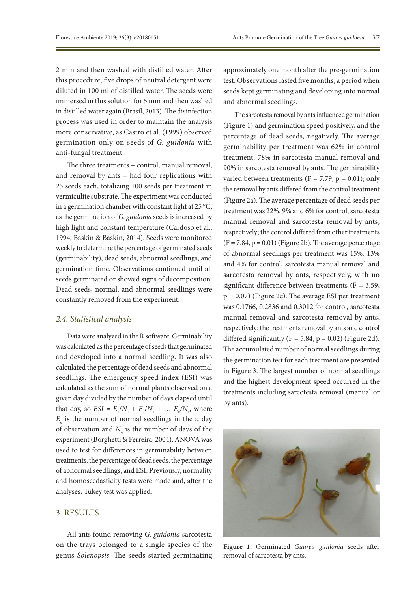2 min and then washed with distilled water. After this procedure, five drops of neutral detergent were diluted in 100 ml of distilled water. The seeds were immersed in this solution for 5 min and then washed in distilled water again (Brasil, 2013). The disinfection process was used in order to maintain the analysis more conservative, as Castro et al. (1999) observed germination only on seeds of *G. guidonia* with anti-fungal treatment.

The three treatments – control, manual removal, and removal by ants – had four replications with 25 seeds each, totalizing 100 seeds per treatment in vermiculite substrate. The experiment was conducted in a germination chamber with constant light at 25 °C, as the germination of *G. guidonia* seeds is increased by high light and constant temperature (Cardoso et al., 1994; Baskin & Baskin, 2014). Seeds were monitored weekly to determine the percentage of germinated seeds (germinability), dead seeds, abnormal seedlings, and germination time. Observations continued until all seeds germinated or showed signs of decomposition. Dead seeds, normal, and abnormal seedlings were constantly removed from the experiment.

## *2.4. Statistical analysis*

Data were analyzed in the R software. Germinability was calculated as the percentage of seeds that germinated and developed into a normal seedling. It was also calculated the percentage of dead seeds and abnormal seedlings. The emergency speed index (ESI) was calculated as the sum of normal plants observed on a given day divided by the number of days elapsed until that day, so  $ESI = E_1/N_1 + E_2/N_2 + ... E_n/N_n$ , where  $E_n$  is the number of normal seedlings in the *n* day of observation and  $N_n$  is the number of days of the experiment (Borghetti & Ferreira, 2004). ANOVA was used to test for differences in germinability between treatments, the percentage of dead seeds, the percentage of abnormal seedlings, and ESI. Previously, normality and homoscedasticity tests were made and, after the analyses, Tukey test was applied.

## 3. RESULTS

All ants found removing *G. guidonia* sarcotesta on the trays belonged to a single species of the genus *Solenopsis*. The seeds started germinating approximately one month after the pre-germination test. Observations lasted five months, a period when seeds kept germinating and developing into normal and abnormal seedlings.

The sarcotesta removal by ants influenced germination (Figure 1) and germination speed positively, and the percentage of dead seeds, negatively. The average germinability per treatment was 62% in control treatment, 78% in sarcotesta manual removal and 90% in sarcotesta removal by ants. The germinability varied between treatments ( $F = 7.79$ ,  $p = 0.01$ ); only the removal by ants differed from the control treatment (Figure 2a). The average percentage of dead seeds per treatment was 22%, 9% and 6% for control, sarcotesta manual removal and sarcotesta removal by ants, respectively; the control differed from other treatments  $(F = 7.84, p = 0.01)$  (Figure 2b). The average percentage of abnormal seedlings per treatment was 15%, 13% and 4% for control, sarcotesta manual removal and sarcotesta removal by ants, respectively, with no significant difference between treatments ( $F = 3.59$ ,  $p = 0.07$ ) (Figure 2c). The average ESI per treatment was 0.1766, 0.2836 and 0.3012 for control, sarcotesta manual removal and sarcotesta removal by ants, respectively; the treatments removal by ants and control differed significantly  $(F = 5.84, p = 0.02)$  (Figure 2d). The accumulated number of normal seedlings during the germination test for each treatment are presented in Figure 3. The largest number of normal seedlings and the highest development speed occurred in the treatments including sarcotesta removal (manual or by ants).



**Figure 1.** Germinated *Guarea guidonia* seeds after removal of sarcotesta by ants.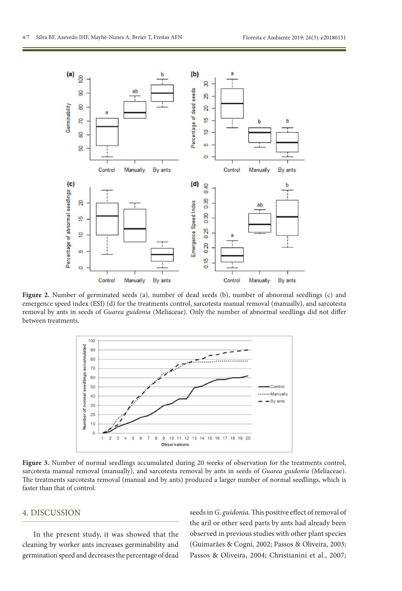

**Figure 2.** Number of germinated seeds (a), number of dead seeds (b), number of abnormal seedlings (c) and emergence speed index (ESI) (d) for the treatments control, sarcotesta manual removal (manually), and sarcotesta removal by ants in seeds of *Guarea guidonia* (Meliaceae). Only the number of abnormal seedlings did not differ between treatments.



**Figure 3.** Number of normal seedlings accumulated during 20 weeks of observation for the treatments control, sarcotesta manual removal (manually), and sarcotesta removal by ants in seeds of *Guarea guidonia* (Meliaceae). The treatments sarcotesta removal (manual and by ants) produced a larger number of normal seedlings, which is faster than that of control.

## 4. DISCUSSION

In the present study, it was showed that the cleaning by worker ants increases germinability and germination speed and decreases the percentage of dead seeds in *G. guidonia*. This positive effect of removal of the aril or other seed parts by ants had already been observed in previous studies with other plant species (Guimarães & Cogni, 2002; Passos & Oliveira, 2003; Passos & Oliveira, 2004; Christianini et al., 2007;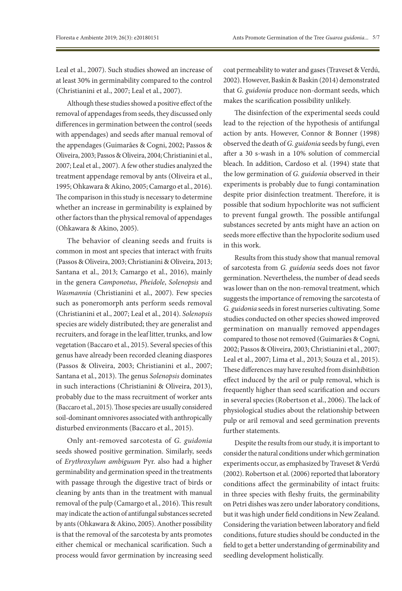Leal et al., 2007). Such studies showed an increase of at least 30% in germinability compared to the control (Christianini et al., 2007; Leal et al., 2007).

Although these studies showed a positive effect of the removal of appendages from seeds, they discussed only differences in germination between the control (seeds with appendages) and seeds after manual removal of the appendages (Guimarães & Cogni, 2002; Passos & Oliveira, 2003; Passos & Oliveira, 2004; Christianini et al., 2007; Leal et al., 2007). A few other studies analyzed the treatment appendage removal by ants (Oliveira et al., 1995; Ohkawara & Akino, 2005; Camargo et al., 2016). The comparison in this study is necessary to determine whether an increase in germinability is explained by other factors than the physical removal of appendages (Ohkawara & Akino, 2005).

The behavior of cleaning seeds and fruits is common in most ant species that interact with fruits (Passos & Oliveira, 2003; Christianini & Oliveira, 2013; Santana et al., 2013; Camargo et al., 2016), mainly in the genera *Camponotus*, *Pheidole*, *Solenopsis* and *Wasmannia* (Christianini et al., 2007). Few species such as poneromorph ants perform seeds removal (Christianini et al., 2007; Leal et al., 2014). *Solenopsis* species are widely distributed; they are generalist and recruiters, and forage in the leaf litter, trunks, and low vegetation (Baccaro et al., 2015). Several species of this genus have already been recorded cleaning diaspores (Passos & Oliveira, 2003; Christianini et al., 2007; Santana et al., 2013). The genus *Solenopsis* dominates in such interactions (Christianini & Oliveira, 2013), probably due to the mass recruitment of worker ants (Baccaro et al., 2015). Those species are usually considered soil-dominant omnivores associated with anthropically disturbed environments (Baccaro et al., 2015).

Only ant-removed sarcotesta of *G. guidonia* seeds showed positive germination. Similarly, seeds of *Erythroxylum ambiguum* Pyr. also had a higher germinability and germination speed in the treatments with passage through the digestive tract of birds or cleaning by ants than in the treatment with manual removal of the pulp (Camargo et al., 2016). This result may indicate the action of antifungal substances secreted by ants (Ohkawara & Akino, 2005). Another possibility is that the removal of the sarcotesta by ants promotes either chemical or mechanical scarification. Such a process would favor germination by increasing seed

coat permeability to water and gases (Traveset & Verdú, 2002). However, Baskin & Baskin (2014) demonstrated that *G. guidonia* produce non-dormant seeds, which makes the scarification possibility unlikely.

The disinfection of the experimental seeds could lead to the rejection of the hypothesis of antifungal action by ants. However, Connor & Bonner (1998) observed the death of *G. guidonia* seeds by fungi, even after a 30 s-wash in a 10% solution of commercial bleach. In addition, Cardoso et al. (1994) state that the low germination of *G. guidonia* observed in their experiments is probably due to fungi contamination despite prior disinfection treatment. Therefore, it is possible that sodium hypochlorite was not sufficient to prevent fungal growth. The possible antifungal substances secreted by ants might have an action on seeds more effective than the hypoclorite sodium used in this work.

Results from this study show that manual removal of sarcotesta from *G. guidonia* seeds does not favor germination. Nevertheless, the number of dead seeds was lower than on the non-removal treatment, which suggests the importance of removing the sarcotesta of *G. guidonia* seeds in forest nurseries cultivating. Some studies conducted on other species showed improved germination on manually removed appendages compared to those not removed (Guimarães & Cogni, 2002; Passos & Oliveira, 2003; Christianini et al., 2007; Leal et al., 2007; Lima et al., 2013; Souza et al., 2015). These differences may have resulted from disinhibition effect induced by the aril or pulp removal, which is frequently higher than seed scarification and occurs in several species (Robertson et al., 2006). The lack of physiological studies about the relationship between pulp or aril removal and seed germination prevents further statements.

Despite the results from our study, it is important to consider the natural conditions under which germination experiments occur, as emphasized by Traveset & Verdú (2002). Robertson et al. (2006) reported that laboratory conditions affect the germinability of intact fruits: in three species with fleshy fruits, the germinability on Petri dishes was zero under laboratory conditions, but it was high under field conditions in New Zealand. Considering the variation between laboratory and field conditions, future studies should be conducted in the field to get a better understanding of germinability and seedling development holistically.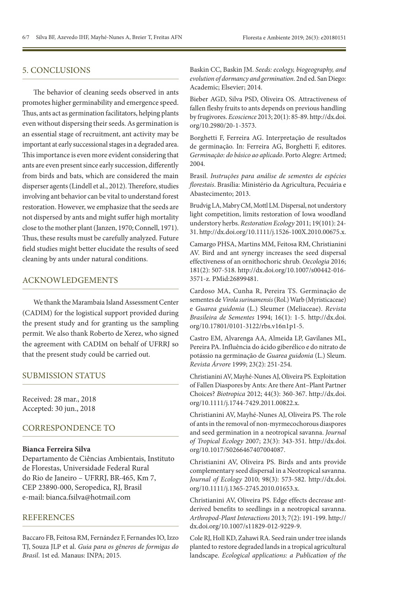# 5. CONCLUSIONS

The behavior of cleaning seeds observed in ants promotes higher germinability and emergence speed. Thus, ants act as germination facilitators, helping plants even without dispersing their seeds. As germination is an essential stage of recruitment, ant activity may be important at early successional stages in a degraded area. This importance is even more evident considering that ants are even present since early succession, differently from birds and bats, which are considered the main disperser agents (Lindell et al., 2012). Therefore, studies involving ant behavior can be vital to understand forest restoration. However, we emphasize that the seeds are not dispersed by ants and might suffer high mortality close to the mother plant (Janzen, 1970; Connell, 1971). Thus, these results must be carefully analyzed. Future field studies might better elucidate the results of seed cleaning by ants under natural conditions.

## ACKNOWLEDGEMENTS

We thank the Marambaia Island Assessment Center (CADIM) for the logistical support provided during the present study and for granting us the sampling permit. We also thank Roberto de Xerez, who signed the agreement with CADIM on behalf of UFRRJ so that the present study could be carried out.

#### SUBMISSION STATUS

Received: 28 mar., 2018 Accepted: 30 jun., 2018

## CORRESPONDENCE TO

#### **Bianca Ferreira Silva**

Departamento de Ciências Ambientais, Instituto de Florestas, Universidade Federal Rural do Rio de Janeiro – UFRRJ, BR-465, Km 7, CEP 23890-000, Seropedica, RJ, Brasil e-mail: bianca.fsilva@hotmail.com

# **REFERENCES**

Baccaro FB, Feitosa RM, Fernández F, FernandesIO, Izzo TJ, Souza JLP et al. *Guia para os gêneros de formigas do Brasil*. 1st ed. Manaus: INPA; 2015.

Baskin CC, Baskin JM. *Seeds: ecology, biogeography, and evolution of dormancy and germination*. 2nd ed. San Diego: Academic; Elsevier; 2014.

Bieber AGD, Silva PSD, Oliveira OS. Attractiveness of fallen fleshy fruits to ants depends on previous handling by frugivores. *Ecoscience* 2013; 20(1): 85-89. [http://dx.doi.](https://doi.org/10.2980/20-1-3573) [org/10.2980/20-1-3573](https://doi.org/10.2980/20-1-3573).

Borghetti F, Ferreira AG. Interpretação de resultados de germinação. In: Ferreira AG, Borghetti F, editores. *Germinação: do básico ao aplicado*. Porto Alegre: Artmed; 2004.

Brasil. *Instruções para análise de sementes de espécies florestais*. Brasília: Ministério da Agricultura, Pecuária e Abastecimento; 2013.

Brudvig LA, MabryCM, Mottl LM. Dispersal, not understory light competition, limits restoration of Iowa woodland understory herbs. *Restoration Ecology* 2011; 19(101): 24- 31. [http://dx.doi.org/10.1111/j.1526-100X.2010.00675.x](https://doi.org/10.1111/j.1526-100X.2010.00675.x).

Camargo PHSA, Martins MM, Feitosa RM, Christianini AV. Bird and ant synergy increases the seed dispersal effectiveness of an ornithochoric shrub. *Oecologia* 2016; 181(2): 507-518. [http://dx.doi.org/10.1007/s00442-016-](https://doi.org/10.1007/s00442-016-3571-z) [3571-z](https://doi.org/10.1007/s00442-016-3571-z)[. PMid:26899481.](https://www.ncbi.nlm.nih.gov/entrez/query.fcgi?cmd=Retrieve&db=PubMed&list_uids=26899481&dopt=Abstract)

Cardoso MA, Cunha R, Pereira TS. Germinação de sementes de *Virola surinamensis* (Rol.) Warb (Myristicaceae) e *Guarea guidonia* (L.) Sleumer (Meliaceae). *Revista Brasileira de Sementes* 1994; 16(1): 1-5. [http://dx.doi.](https://doi.org/10.17801/0101-3122/rbs.v16n1p1-5) [org/10.17801/0101-3122/rbs.v16n1p1-5.](https://doi.org/10.17801/0101-3122/rbs.v16n1p1-5)

Castro EM, Alvarenga AA, Almeida LP, Gavilanes ML, Pereira PA. Influência do ácido giberélico e do nitrato de potássio na germinação de *Guarea guidonia* (L.) Sleum. *Revista Árvore* 1999; 23(2): 251-254.

ChristianiniAV, Mayhé-NunesAJ, Oliveira PS. Exploitation of Fallen Diaspores by Ants: Are there Ant–Plant Partner Choices? *Biotropica* 2012; 44(3): 360-367. [http://dx.doi.](https://doi.org/10.1111/j.1744-7429.2011.00822.x) [org/10.1111/j.1744-7429.2011.00822.x](https://doi.org/10.1111/j.1744-7429.2011.00822.x).

Christianini AV, Mayhé-Nunes AJ, Oliveira PS. The role of ants in the removal of non-myrmecochorous diaspores and seed germination in a neotropical savanna. *Journal of Tropical Ecology* 2007; 23(3): 343-351. [http://dx.doi.](https://doi.org/10.1017/S0266467407004087) [org/10.1017/S0266467407004087](https://doi.org/10.1017/S0266467407004087).

Christianini AV, Oliveira PS. Birds and ants provide complementary seed dispersal in a Neotropical savanna. *Journal of Ecology* 2010; 98(3): 573-582. [http://dx.doi.](https://doi.org/10.1111/j.1365-2745.2010.01653.x) [org/10.1111/j.1365-2745.2010.01653.x](https://doi.org/10.1111/j.1365-2745.2010.01653.x).

Christianini AV, Oliveira PS. Edge effects decrease antderived benefits to seedlings in a neotropical savanna. *Arthropod-Plant Interactions* 2013; 7(2): 191-199. [http://](https://doi.org/10.1007/s11829-012-9229-9) [dx.doi.org/10.1007/s11829-012-9229-9.](https://doi.org/10.1007/s11829-012-9229-9)

Cole RJ, Holl KD, Zahawi RA. Seed rain under tree islands planted to restore degraded lands in a tropical agricultural landscape. *Ecological applications: a Publication of the*